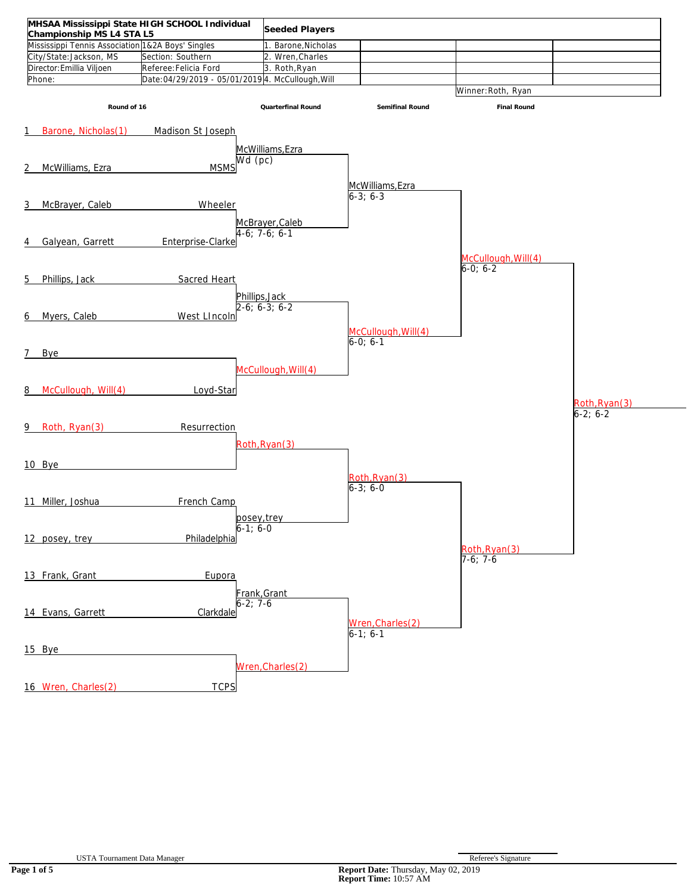| MHSAA Mississippi State HIGH SCHOOL Individual    |                                                  | Seeded Players      |                     |                     |               |
|---------------------------------------------------|--------------------------------------------------|---------------------|---------------------|---------------------|---------------|
| Championship MS L4 STA L5                         |                                                  |                     |                     |                     |               |
| Mississippi Tennis Association 1&2A Boys' Singles |                                                  | Barone, Nicholas    |                     |                     |               |
| City/State:Jackson, MS                            | Section: Southern                                | 2. Wren, Charles    |                     |                     |               |
| Director: Emillia Viljoen                         | Referee: Felicia Ford                            | 3. Roth, Ryan       |                     |                     |               |
| Phone:                                            | Date:04/29/2019 - 05/01/2019 4. McCullough, Will |                     |                     |                     |               |
|                                                   |                                                  |                     |                     | Winner: Roth, Ryan  |               |
| Round of 16                                       |                                                  | Quarterfinal Round  | Semifinal Round     | Final Round         |               |
|                                                   |                                                  |                     |                     |                     |               |
| Barone, Nicholas(1)<br>1                          | Madison St Joseph                                |                     |                     |                     |               |
|                                                   |                                                  | McWilliams, Ezra    |                     |                     |               |
|                                                   |                                                  | Wd(pc)              |                     |                     |               |
| McWilliams, Ezra<br>2                             | <b>MSMS</b>                                      |                     |                     |                     |               |
|                                                   |                                                  |                     |                     |                     |               |
|                                                   |                                                  |                     | McWilliams, Ezra    |                     |               |
| McBrayer, Caleb<br>3                              | Wheeler                                          |                     | $6-3; 6-3$          |                     |               |
|                                                   |                                                  |                     |                     |                     |               |
|                                                   |                                                  | McBrayer, Caleb     |                     |                     |               |
|                                                   |                                                  | $4-6; 7-6; 6-1$     |                     |                     |               |
| Galyean, Garrett<br>4                             | Enterprise-Clarke                                |                     |                     |                     |               |
|                                                   |                                                  |                     |                     | McCullough, Will(4) |               |
|                                                   |                                                  |                     |                     | $6-0; 6-2$          |               |
| Phillips, Jack<br>5                               | Sacred Heart                                     |                     |                     |                     |               |
|                                                   |                                                  |                     |                     |                     |               |
|                                                   |                                                  | Phillips, Jack      |                     |                     |               |
|                                                   |                                                  | $2-6; 6-3; 6-2$     |                     |                     |               |
| Myers, Caleb<br>6                                 | West LIncoln                                     |                     |                     |                     |               |
|                                                   |                                                  |                     | McCullough, Will(4) |                     |               |
|                                                   |                                                  |                     | $6-0; 6-1$          |                     |               |
| 7<br><b>Bye</b>                                   |                                                  |                     |                     |                     |               |
|                                                   |                                                  |                     |                     |                     |               |
|                                                   |                                                  | McCullough, Will(4) |                     |                     |               |
|                                                   |                                                  |                     |                     |                     |               |
| McCullough, Will(4)<br>8                          | Loyd-Star                                        |                     |                     |                     |               |
|                                                   |                                                  |                     |                     |                     | Roth, Ryan(3) |
|                                                   |                                                  |                     |                     |                     | $6-2; 6-2$    |
| Roth, Ryan(3)<br>9.                               | Resurrection                                     |                     |                     |                     |               |
|                                                   |                                                  |                     |                     |                     |               |
|                                                   |                                                  | Roth, Ryan(3)       |                     |                     |               |
|                                                   |                                                  |                     |                     |                     |               |
| 10 Bye                                            |                                                  |                     |                     |                     |               |
|                                                   |                                                  |                     | Roth, Ryan(3)       |                     |               |
|                                                   |                                                  |                     | $6-3; 6-0$          |                     |               |
| 11 Miller, Joshua                                 | French Camp                                      |                     |                     |                     |               |
|                                                   |                                                  |                     |                     |                     |               |
|                                                   |                                                  | hosev trev          |                     |                     |               |
|                                                   |                                                  | $6 - 1$ ; $6 - 0$   |                     |                     |               |
| 12 posey, trey                                    | Philadelphia                                     |                     |                     |                     |               |
|                                                   |                                                  |                     |                     | Roth, Ryan(3)       |               |
|                                                   |                                                  |                     |                     | $7-6; 7-6$          |               |
| 13 Frank, Grant                                   | Eupora                                           |                     |                     |                     |               |
|                                                   |                                                  |                     |                     |                     |               |
|                                                   |                                                  | Frank, Grant        |                     |                     |               |
|                                                   |                                                  | $5 - 2; 7 - 6$      |                     |                     |               |
| 14 Evans, Garrett                                 | Clarkdale                                        |                     |                     |                     |               |
|                                                   |                                                  |                     | Wren, Charles (2)   |                     |               |
|                                                   |                                                  |                     | $6-1; 6-1$          |                     |               |
|                                                   |                                                  |                     |                     |                     |               |
| 15 Bye                                            |                                                  |                     |                     |                     |               |
|                                                   |                                                  | Wren, Charles (2)   |                     |                     |               |
|                                                   |                                                  |                     |                     |                     |               |
| 16 Wren, Charles(2)                               | <b>TCPS</b>                                      |                     |                     |                     |               |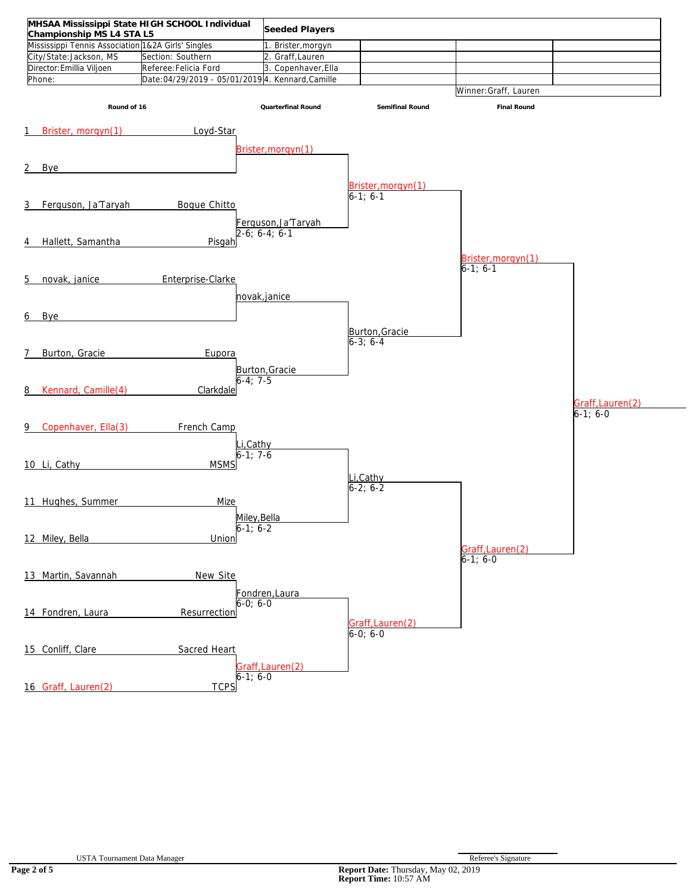|                                                                                 | MHSAA Mississippi State HIGH SCHOOL Individual   | Seeded Players      |                    |                       |                  |
|---------------------------------------------------------------------------------|--------------------------------------------------|---------------------|--------------------|-----------------------|------------------|
| Championship MS L4 STA L5<br>Mississippi Tennis Association 1&2A Girls' Singles |                                                  |                     |                    |                       |                  |
|                                                                                 |                                                  | 1. Brister, morgyn  |                    |                       |                  |
| City/State:Jackson, MS                                                          | Section: Southern                                | 2. Graff, Lauren    |                    |                       |                  |
| Director: Emillia Viljoen                                                       | Referee: Felicia Ford                            | 3. Copenhaver, Ella |                    |                       |                  |
| Phone:                                                                          | Date:04/29/2019 - 05/01/2019 4. Kennard, Camille |                     |                    |                       |                  |
|                                                                                 |                                                  |                     |                    | Winner: Graff, Lauren |                  |
| Round of 16                                                                     |                                                  | Quarterfinal Round  | Semifinal Round    | Final Round           |                  |
|                                                                                 |                                                  |                     |                    |                       |                  |
|                                                                                 |                                                  |                     |                    |                       |                  |
| Brister, morgyn(1)<br>1                                                         | Loyd-Star                                        |                     |                    |                       |                  |
|                                                                                 |                                                  |                     |                    |                       |                  |
|                                                                                 |                                                  | Brister, morgyn(1)  |                    |                       |                  |
| 2<br>Bye                                                                        |                                                  |                     |                    |                       |                  |
|                                                                                 |                                                  |                     |                    |                       |                  |
|                                                                                 |                                                  |                     | Brister, morgyn(1) |                       |                  |
|                                                                                 |                                                  |                     | $6-1; 6-1$         |                       |                  |
| Ferguson, Ja'Taryah<br>3                                                        | <b>Boque Chitto</b>                              |                     |                    |                       |                  |
|                                                                                 |                                                  |                     |                    |                       |                  |
|                                                                                 |                                                  | Ferguson, Ja'Taryah |                    |                       |                  |
|                                                                                 |                                                  | $2-6; 6-4; 6-1$     |                    |                       |                  |
| Hallett, Samantha<br>4                                                          | Pisgah                                           |                     |                    |                       |                  |
|                                                                                 |                                                  |                     |                    | Brister, morgyn(1)    |                  |
|                                                                                 |                                                  |                     |                    | $6-1; 6-1$            |                  |
| novak, janice<br>5                                                              | Enterprise-Clarke                                |                     |                    |                       |                  |
|                                                                                 |                                                  |                     |                    |                       |                  |
|                                                                                 |                                                  | novak, janice       |                    |                       |                  |
|                                                                                 |                                                  |                     |                    |                       |                  |
| Bye<br>6                                                                        |                                                  |                     |                    |                       |                  |
|                                                                                 |                                                  |                     | Burton, Gracie     |                       |                  |
|                                                                                 |                                                  |                     | $6-3; 6-4$         |                       |                  |
|                                                                                 |                                                  |                     |                    |                       |                  |
| Burton, Gracie<br>7                                                             | Eupora                                           |                     |                    |                       |                  |
|                                                                                 |                                                  | Burton, Gracie      |                    |                       |                  |
|                                                                                 |                                                  | $6 - 4$ : 7-5       |                    |                       |                  |
| Kennard, Camille(4)<br>8                                                        | Clarkdale                                        |                     |                    |                       |                  |
|                                                                                 |                                                  |                     |                    |                       |                  |
|                                                                                 |                                                  |                     |                    |                       | Graff, Lauren(2) |
|                                                                                 |                                                  |                     |                    |                       | $6-1; 6-0$       |
| Copenhaver, Ella(3)<br>9                                                        | French Camp                                      |                     |                    |                       |                  |
|                                                                                 |                                                  |                     |                    |                       |                  |
|                                                                                 |                                                  | i,Cathy             |                    |                       |                  |
|                                                                                 |                                                  | $6 - 1:7 - 6$       |                    |                       |                  |
| 10 Li, Cathy                                                                    | <b>MSMS</b>                                      |                     |                    |                       |                  |
|                                                                                 |                                                  |                     | Li, Cathy          |                       |                  |
|                                                                                 |                                                  |                     | $6 - 2; 6 - 2$     |                       |                  |
| 11 Hughes, Summer                                                               | Mize                                             |                     |                    |                       |                  |
|                                                                                 |                                                  |                     |                    |                       |                  |
|                                                                                 |                                                  | Milev.Bella         |                    |                       |                  |
|                                                                                 |                                                  | $6 - 1, 6 - 2$      |                    |                       |                  |
| 12 Miley, Bella                                                                 | Union                                            |                     |                    |                       |                  |
|                                                                                 |                                                  |                     |                    | Graff, Lauren(2)      |                  |
|                                                                                 |                                                  |                     |                    | $6-1; 6-0$            |                  |
|                                                                                 |                                                  |                     |                    |                       |                  |
| 13 Martin, Savannah                                                             | New Site                                         |                     |                    |                       |                  |
|                                                                                 |                                                  | Fondren, Laura      |                    |                       |                  |
|                                                                                 |                                                  | 6-0; 6-0            |                    |                       |                  |
| 14 Fondren, Laura                                                               | Resurrection                                     |                     |                    |                       |                  |
|                                                                                 |                                                  |                     | Graff, Lauren(2)   |                       |                  |
|                                                                                 |                                                  |                     | $6-0; 6-0$         |                       |                  |
|                                                                                 |                                                  |                     |                    |                       |                  |
| 15 Conliff, Clare                                                               | Sacred Heart                                     |                     |                    |                       |                  |
|                                                                                 |                                                  |                     |                    |                       |                  |
|                                                                                 |                                                  | Graff, Lauren(2)    |                    |                       |                  |
|                                                                                 |                                                  | $6-1; 6-0$          |                    |                       |                  |
| 16 Graff, Lauren(2)                                                             | <b>TCPS</b>                                      |                     |                    |                       |                  |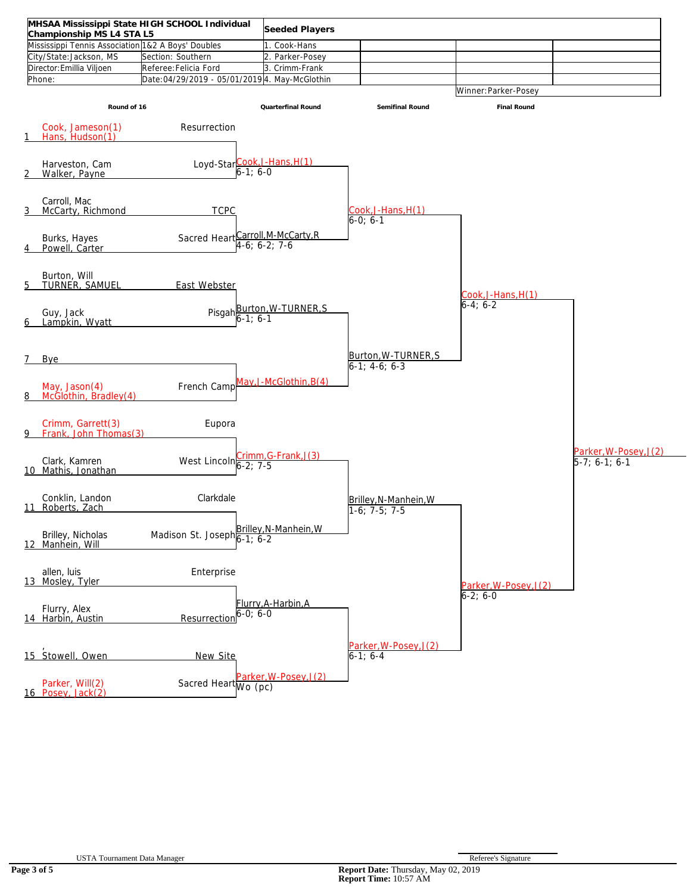| Championship MS L4 STA L5<br>Mississippi Tennis Association 1&2 A Boys' Doubles |                                               | Seeded Players<br>1. Cook-Hans                                |                                          |                       |                                        |
|---------------------------------------------------------------------------------|-----------------------------------------------|---------------------------------------------------------------|------------------------------------------|-----------------------|----------------------------------------|
| City/State:Jackson, MS                                                          | Section: Southern                             | 2. Parker-Posey                                               |                                          |                       |                                        |
| Director: Emillia Viljoen                                                       | Referee: Felicia Ford                         | 3. Crimm-Frank                                                |                                          |                       |                                        |
| Phone:                                                                          | Date:04/29/2019 - 05/01/2019 4. May-McGlothin |                                                               |                                          |                       |                                        |
|                                                                                 |                                               |                                                               |                                          | Winner: Parker-Posey  |                                        |
| Round of 16                                                                     |                                               | Quarterfinal Round                                            | Semifinal Round                          | Final Round           |                                        |
| Cook, Jameson(1)<br>Hans, Hudson(1)                                             | Resurrection                                  |                                                               |                                          |                       |                                        |
| Harveston, Cam<br>Walker, Payne                                                 |                                               | Loyd-Star $\frac{\text{Cook}, J\text{-Hans}, H(1)}{6-1; 6-0}$ |                                          |                       |                                        |
| Carroll, Mac<br>McCarty, Richmond                                               | <b>TCPC</b>                                   |                                                               | Cook, J-Hans, H(1)<br>6-0: 6-1           |                       |                                        |
| Burks, Hayes<br>Powell, Carter                                                  |                                               | Sacred Heart Carroll, M-McCarty, R                            |                                          |                       |                                        |
| Burton, Will<br>TURNER, SAMUEL                                                  | East Webster                                  |                                                               |                                          | Cook,J-Hans,H(1)      |                                        |
| Guy, Jack<br>Lampkin, Wyatt                                                     |                                               | Pisgah <b>Burton, W-TURNER, S</b><br>6-1; 6-1                 |                                          | $6-4; 6-2$            |                                        |
| Bye                                                                             |                                               |                                                               | Burton, W-TURNER, S<br>$6-1; 4-6; 6-3$   |                       |                                        |
| May, $Jason(4)$<br>McGlothin, Bradley(4)                                        | French Camp                                   | May, J-McGlothin, B(4)                                        |                                          |                       |                                        |
| Crimm, Garrett(3)<br>Frank, John Thomas(3)                                      | Eupora                                        |                                                               |                                          |                       |                                        |
| Clark, Kamren<br>10 Mathis, Jonathan                                            | West Lincoln $6-2$ ; 7-5                      | crimm, G-Frank, J(3)                                          |                                          |                       | Parker, W-Posey, J(2)<br>5-7; 6-1; 6-1 |
| Conklin, Landon<br>11 Roberts, Zach                                             | Clarkdale                                     |                                                               | Brilley, N-Manhein, W<br>$1-6; 7-5; 7-5$ |                       |                                        |
| Brilley, Nicholas<br>12 Manhein, Will                                           | Madison St. Joseph 6-1; 6-2                   | Brilley, N-Manhein, W                                         |                                          |                       |                                        |
| allen, luis<br>13 Mosley, Tyler                                                 | Enterprise                                    |                                                               |                                          | Parker, W-Posey, J(2) |                                        |
| Flurry, Alex<br>14 Harbin, Austin                                               | Resurrection                                  | Flurry, A-Harbin, A<br>$6 - 0; 6 - 0$                         |                                          | $6-2; 6-0$            |                                        |
| 15 Stowell, Owen                                                                | New Site                                      |                                                               | Parker, W-Posey, J(2)<br>$6-1; 6-4$      |                       |                                        |
| Parker, Will(2)<br>16 Posey, Jack(2)                                            | Sacred Heart Wo (pc)                          | Parker, W-Posey, J(2)                                         |                                          |                       |                                        |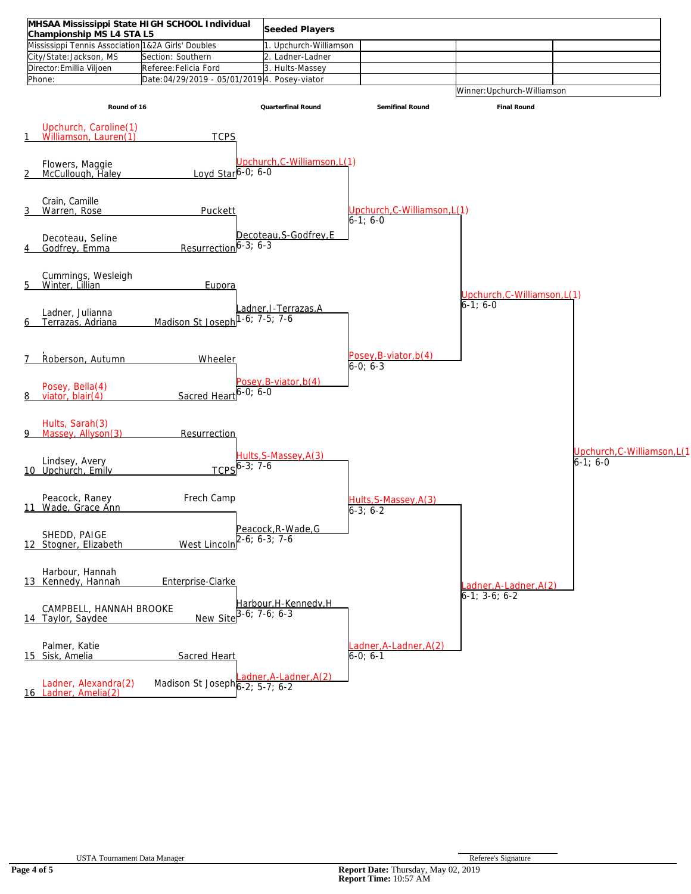